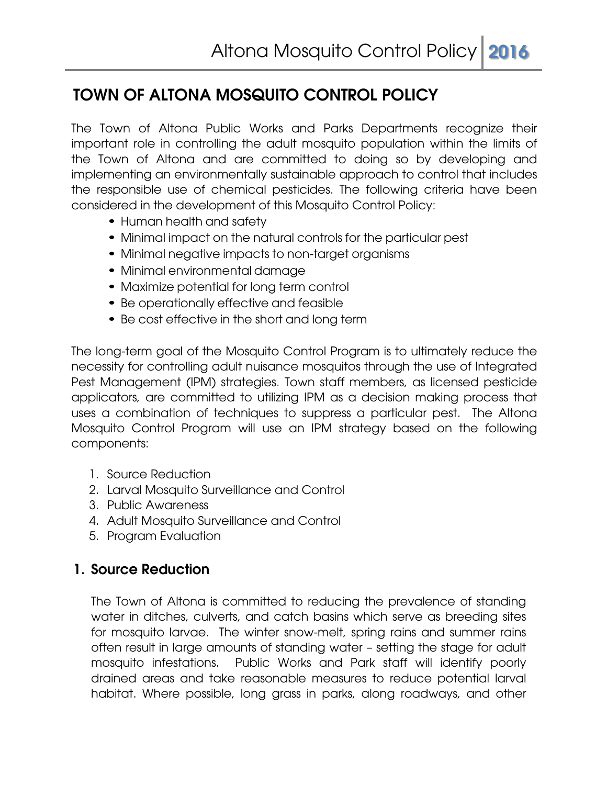# **TOWN OF ALTONA MOSQUITO CONTROL POLICY**

The Town of Altona Public Works and Parks Departments recognize their important role in controlling the adult mosquito population within the limits of the Town of Altona and are committed to doing so by developing and implementing an environmentally sustainable approach to control that includes the responsible use of chemical pesticides. The following criteria have been considered in the development of this Mosquito Control Policy:

- Human health and safety
- Minimal impact on the natural controls for the particular pest
- Minimal negative impacts to non-target organisms
- Minimal environmental damage
- Maximize potential for long term control
- Be operationally effective and feasible
- Be cost effective in the short and long term

The long-term goal of the Mosquito Control Program is to ultimately reduce the necessity for controlling adult nuisance mosquitos through the use of Integrated Pest Management (IPM) strategies. Town staff members, as licensed pesticide applicators, are committed to utilizing IPM as a decision making process that uses a combination of techniques to suppress a particular pest. The Altona Mosquito Control Program will use an IPM strategy based on the following components:

- 1. Source Reduction
- 2. Larval Mosquito Surveillance and Control
- 3. Public Awareness
- 4. Adult Mosquito Surveillance and Control
- 5. Program Evaluation

## **1. Source Reduction**

The Town of Altona is committed to reducing the prevalence of standing water in ditches, culverts, and catch basins which serve as breeding sites for mosquito larvae. The winter snow-melt, spring rains and summer rains often result in large amounts of standing water – setting the stage for adult mosquito infestations. Public Works and Park staff will identify poorly drained areas and take reasonable measures to reduce potential larval habitat. Where possible, long grass in parks, along roadways, and other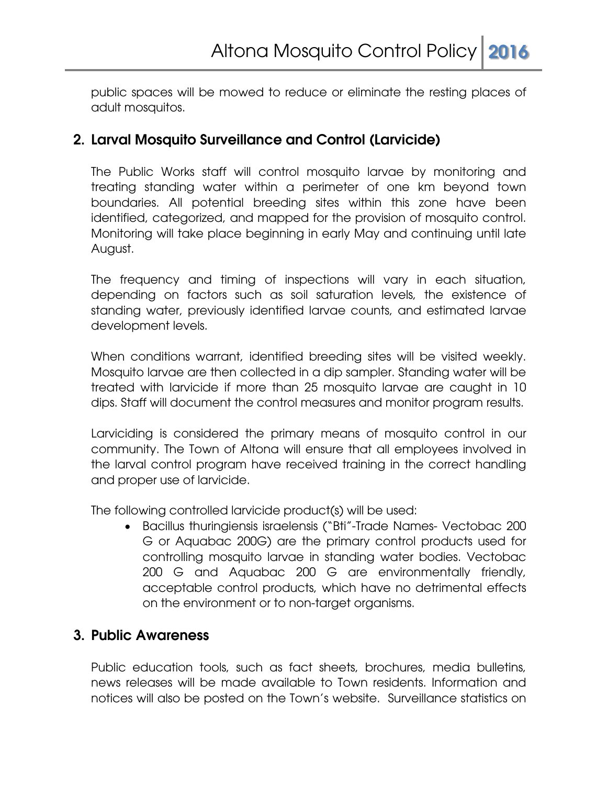public spaces will be mowed to reduce or eliminate the resting places of adult mosquitos.

## **2. Larval Mosquito Surveillance and Control (Larvicide)**

The Public Works staff will control mosquito larvae by monitoring and treating standing water within a perimeter of one km beyond town boundaries. All potential breeding sites within this zone have been identified, categorized, and mapped for the provision of mosquito control. Monitoring will take place beginning in early May and continuing until late August.

The frequency and timing of inspections will vary in each situation, depending on factors such as soil saturation levels, the existence of standing water, previously identified larvae counts, and estimated larvae development levels.

When conditions warrant, identified breeding sites will be visited weekly. Mosquito larvae are then collected in a dip sampler. Standing water will be treated with larvicide if more than 25 mosquito larvae are caught in 10 dips. Staff will document the control measures and monitor program results.

Larviciding is considered the primary means of mosquito control in our community. The Town of Altona will ensure that all employees involved in the larval control program have received training in the correct handling and proper use of larvicide.

The following controlled larvicide product(s) will be used:

 Bacillus thuringiensis israelensis ("Bti"-Trade Names- Vectobac 200 G or Aquabac 200G) are the primary control products used for controlling mosquito larvae in standing water bodies. Vectobac 200 G and Aquabac 200 G are environmentally friendly, acceptable control products, which have no detrimental effects on the environment or to non-target organisms.

### **3. Public Awareness**

Public education tools, such as fact sheets, brochures, media bulletins, news releases will be made available to Town residents. Information and notices will also be posted on the Town's website. Surveillance statistics on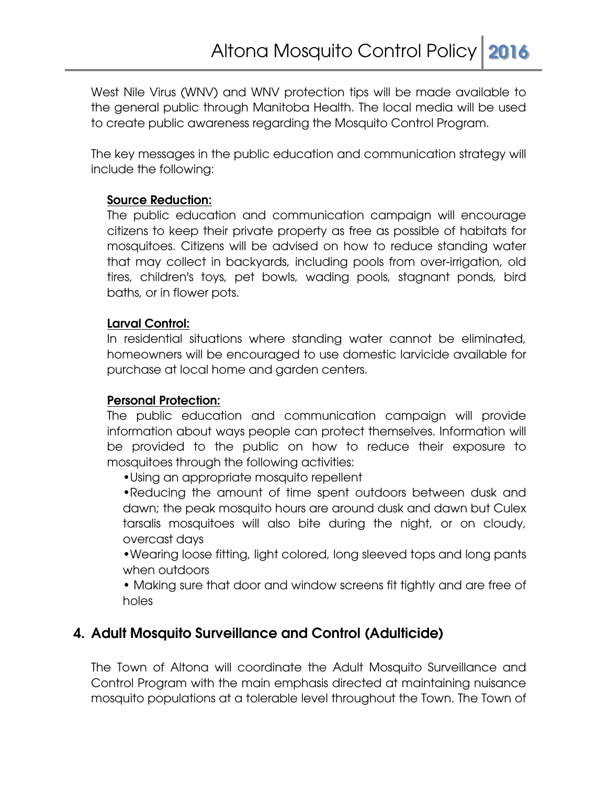West Nile Virus (WNV) and WNV protection tips will be made available to the general public through Manitoba Health. The local media will be used to create public awareness regarding the Mosquito Control Program.

The key messages in the public education and communication strategy will include the following:

#### **Source Reduction:**

The public education and communication campaign will encourage citizens to keep their private property as free as possible of habitats for mosquitoes. Citizens will be advised on how to reduce standing water that may collect in backyards, including pools from over-irrigation, old tires, children's toys, pet bowls, wading pools, stagnant ponds, bird baths, or in flower pots.

#### **Larval Control:**

In residential situations where standing water cannot be eliminated, homeowners will be encouraged to use domestic larvicide available for purchase at local home and garden centers.

#### **Personal Protection:**

The public education and communication campaign will provide information about ways people can protect themselves. Information will be provided to the public on how to reduce their exposure to mosquitoes through the following activities:

•Using an appropriate mosquito repellent

•Reducing the amount of time spent outdoors between dusk and dawn; the peak mosquito hours are around dusk and dawn but Culex tarsalis mosquitoes will also bite during the night, or on cloudy, overcast days

•Wearing loose fitting, light colored, long sleeved tops and long pants when outdoors

• Making sure that door and window screens fit tightly and are free of holes

### **4. Adult Mosquito Surveillance and Control (Adulticide)**

The Town of Altona will coordinate the Adult Mosquito Surveillance and Control Program with the main emphasis directed at maintaining nuisance mosquito populations at a tolerable level throughout the Town. The Town of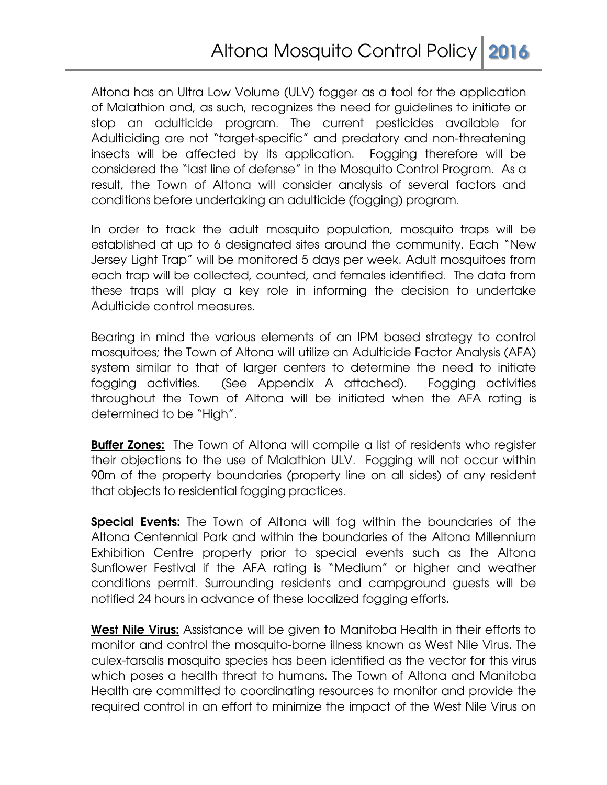Altona has an Ultra Low Volume (ULV) fogger as a tool for the application of Malathion and, as such, recognizes the need for guidelines to initiate or stop an adulticide program. The current pesticides available for Adulticiding are not "target-specific" and predatory and non-threatening insects will be affected by its application. Fogging therefore will be considered the "last line of defense" in the Mosquito Control Program. As a result, the Town of Altona will consider analysis of several factors and conditions before undertaking an adulticide (fogging) program.

In order to track the adult mosquito population, mosquito traps will be established at up to 6 designated sites around the community. Each "New Jersey Light Trap" will be monitored 5 days per week. Adult mosquitoes from each trap will be collected, counted, and females identified. The data from these traps will play a key role in informing the decision to undertake Adulticide control measures.

Bearing in mind the various elements of an IPM based strategy to control mosquitoes; the Town of Altona will utilize an Adulticide Factor Analysis (AFA) system similar to that of larger centers to determine the need to initiate fogging activities. (See Appendix A attached). Fogging activities throughout the Town of Altona will be initiated when the AFA rating is determined to be "High".

**Buffer Zones:** The Town of Altona will compile a list of residents who register their objections to the use of Malathion ULV. Fogging will not occur within 90m of the property boundaries (property line on all sides) of any resident that objects to residential fogging practices.

**Special Events:** The Town of Altona will fog within the boundaries of the Altona Centennial Park and within the boundaries of the Altona Millennium Exhibition Centre property prior to special events such as the Altona Sunflower Festival if the AFA rating is "Medium" or higher and weather conditions permit. Surrounding residents and campground guests will be notified 24 hours in advance of these localized fogging efforts.

**West Nile Virus:** Assistance will be given to Manitoba Health in their efforts to monitor and control the mosquito-borne illness known as West Nile Virus. The culex-tarsalis mosquito species has been identified as the vector for this virus which poses a health threat to humans. The Town of Altona and Manitoba Health are committed to coordinating resources to monitor and provide the required control in an effort to minimize the impact of the West Nile Virus on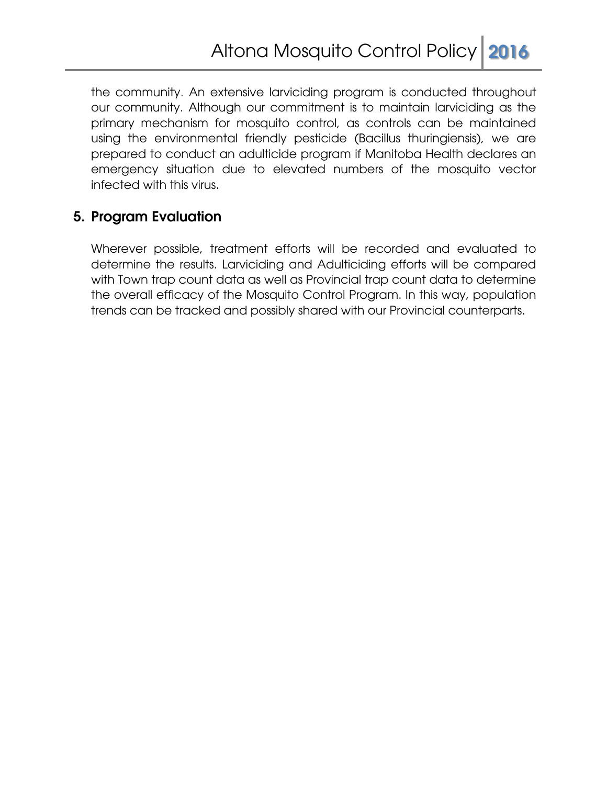the community. An extensive larviciding program is conducted throughout our community. Although our commitment is to maintain larviciding as the primary mechanism for mosquito control, as controls can be maintained using the environmental friendly pesticide (Bacillus thuringiensis), we are prepared to conduct an adulticide program if Manitoba Health declares an emergency situation due to elevated numbers of the mosquito vector infected with this virus.

# **5. Program Evaluation**

Wherever possible, treatment efforts will be recorded and evaluated to determine the results. Larviciding and Adulticiding efforts will be compared with Town trap count data as well as Provincial trap count data to determine the overall efficacy of the Mosquito Control Program. In this way, population trends can be tracked and possibly shared with our Provincial counterparts.